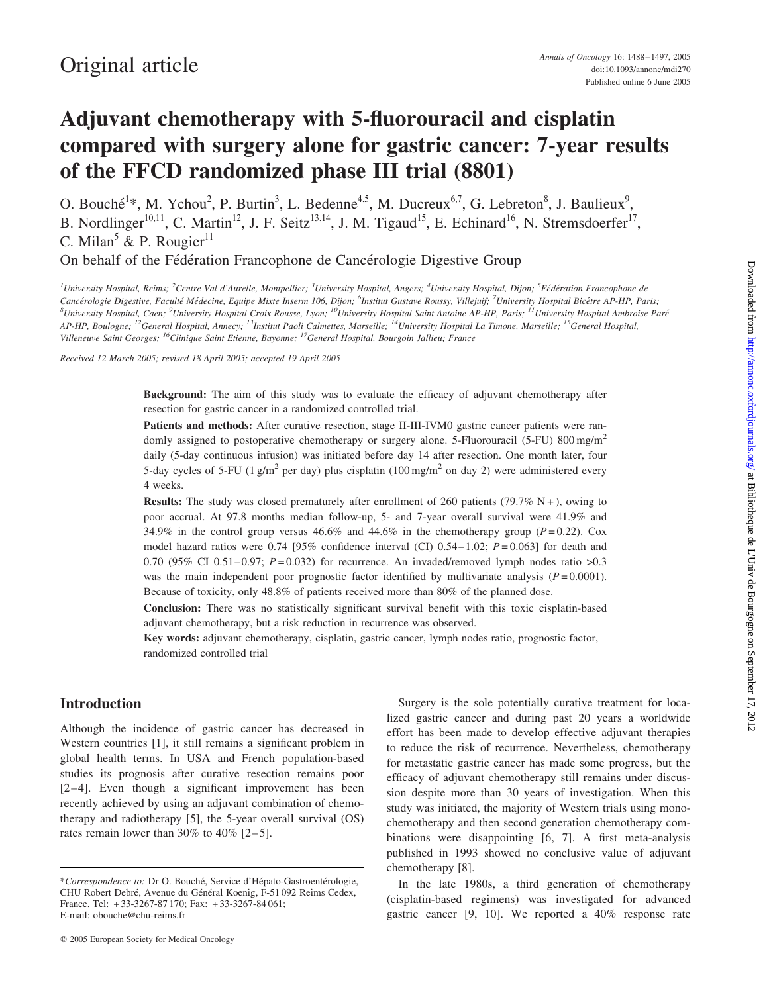# Adjuvant chemotherapy with 5-fluorouracil and cisplatin compared with surgery alone for gastric cancer: 7-year results of the FFCD randomized phase III trial (8801)

O. Bouché<sup>1\*</sup>, M. Ychou<sup>2</sup>, P. Burtin<sup>3</sup>, L. Bedenne<sup>4,5</sup>, M. Ducreux<sup>6,7</sup>, G. Lebreton<sup>8</sup>, J. Baulieux<sup>9</sup>, B. Nordlinger<sup>10,11</sup>, C. Martin<sup>12</sup>, J. F. Seitz<sup>13,14</sup>, J. M. Tigaud<sup>15</sup>, E. Echinard<sup>16</sup>, N. Stremsdoerfer<sup>17</sup>, C. Milan<sup>5</sup> & P. Rougier<sup>11</sup>

On behalf of the Fédération Francophone de Cancérologie Digestive Group

<sup>1</sup>University Hospital, Reims; <sup>2</sup>Centre Val d'Aurelle, Montpellier; <sup>3</sup>University Hospital, Angers; <sup>4</sup>University Hospital, Dijon; <sup>5</sup>Fédération Francophone de Cancérologie Digestive, Faculté Médecine, Equipe Mixte Inserm 106, Dijon; <sup>6</sup>Institut Gustave Roussy, Villejuif; <sup>7</sup>University Hospital Bicêtre AP-HP, Paris;  $^8$ University Hospital, Caen;  $^9$ University Hospital Croix Rousse, Lyon;  $^{10}$ University Hospital Saint Antoine AP-HP, Paris;  $^{11}$ University Hospital Ambroise Paré AP-HP, Boulogne; <sup>12</sup>General Hospital, Annecy; <sup>13</sup>Institut Paoli Calmettes, Marseille; <sup>14</sup>University Hospital La Timone, Marseille; <sup>15</sup>General Hospital, Villeneuve Saint Georges; 16Clinique Saint Etienne, Bayonne; 17General Hospital, Bourgoin Jallieu; France

Received 12 March 2005; revised 18 April 2005; accepted 19 April 2005

Background: The aim of this study was to evaluate the efficacy of adjuvant chemotherapy after resection for gastric cancer in a randomized controlled trial.

Patients and methods: After curative resection, stage II-III-IVM0 gastric cancer patients were randomly assigned to postoperative chemotherapy or surgery alone. 5-Fluorouracil (5-FU) 800 mg/m<sup>2</sup> daily (5-day continuous infusion) was initiated before day 14 after resection. One month later, four 5-day cycles of 5-FU (1 g/m<sup>2</sup> per day) plus cisplatin (100 mg/m<sup>2</sup> on day 2) were administered every 4 weeks.

**Results:** The study was closed prematurely after enrollment of 260 patients (79.7% N +), owing to poor accrual. At 97.8 months median follow-up, 5- and 7-year overall survival were 41.9% and 34.9% in the control group versus 46.6% and 44.6% in the chemotherapy group ( $P = 0.22$ ). Cox model hazard ratios were 0.74 [95% confidence interval (CI) 0.54 – 1.02;  $P = 0.063$ ] for death and 0.70 (95% CI 0.51–0.97;  $P = 0.032$ ) for recurrence. An invaded/removed lymph nodes ratio  $>0.3$ was the main independent poor prognostic factor identified by multivariate analysis  $(P=0.0001)$ . Because of toxicity, only 48.8% of patients received more than 80% of the planned dose.

Conclusion: There was no statistically significant survival benefit with this toxic cisplatin-based adjuvant chemotherapy, but a risk reduction in recurrence was observed.

Key words: adjuvant chemotherapy, cisplatin, gastric cancer, lymph nodes ratio, prognostic factor, randomized controlled trial

# Introduction

Although the incidence of gastric cancer has decreased in Western countries [1], it still remains a significant problem in global health terms. In USA and French population-based studies its prognosis after curative resection remains poor [2–4]. Even though a significant improvement has been recently achieved by using an adjuvant combination of chemotherapy and radiotherapy [5], the 5-year overall survival (OS) rates remain lower than 30% to 40%  $[2-5]$ .

Surgery is the sole potentially curative treatment for localized gastric cancer and during past 20 years a worldwide effort has been made to develop effective adjuvant therapies to reduce the risk of recurrence. Nevertheless, chemotherapy for metastatic gastric cancer has made some progress, but the efficacy of adjuvant chemotherapy still remains under discussion despite more than 30 years of investigation. When this study was initiated, the majority of Western trials using monochemotherapy and then second generation chemotherapy combinations were disappointing [6, 7]. A first meta-analysis published in 1993 showed no conclusive value of adjuvant chemotherapy [8].

In the late 1980s, a third generation of chemotherapy (cisplatin-based regimens) was investigated for advanced gastric cancer [9, 10]. We reported a 40% response rate

<sup>\*</sup>Correspondence to: Dr O. Bouché, Service d'Hépato-Gastroentérologie, CHU Robert Debré, Avenue du Général Koenig, F-51 092 Reims Cedex, France. Tel: + 33-3267-87 170; Fax: + 33-3267-84 061; E-mail: obouche@chu-reims.fr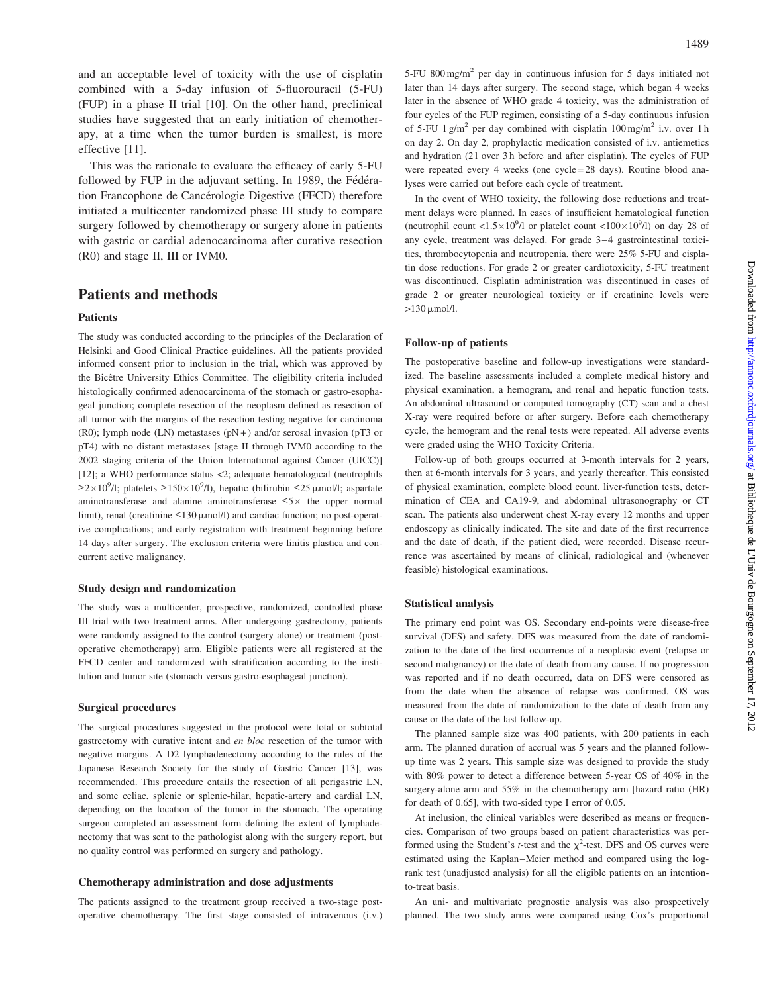and an acceptable level of toxicity with the use of cisplatin combined with a 5-day infusion of 5-fluorouracil (5-FU) (FUP) in a phase II trial [10]. On the other hand, preclinical studies have suggested that an early initiation of chemotherapy, at a time when the tumor burden is smallest, is more effective [11].

This was the rationale to evaluate the efficacy of early 5-FU followed by FUP in the adjuvant setting. In 1989, the Fédération Francophone de Cancérologie Digestive (FFCD) therefore initiated a multicenter randomized phase III study to compare surgery followed by chemotherapy or surgery alone in patients with gastric or cardial adenocarcinoma after curative resection (R0) and stage II, III or IVM0.

# Patients and methods

#### Patients

The study was conducted according to the principles of the Declaration of Helsinki and Good Clinical Practice guidelines. All the patients provided informed consent prior to inclusion in the trial, which was approved by the Bicêtre University Ethics Committee. The eligibility criteria included histologically confirmed adenocarcinoma of the stomach or gastro-esophageal junction; complete resection of the neoplasm defined as resection of all tumor with the margins of the resection testing negative for carcinoma (R0); lymph node (LN) metastases  $(pN+)$  and/or serosal invasion (pT3 or pT4) with no distant metastases [stage II through IVM0 according to the 2002 staging criteria of the Union International against Cancer (UICC)] [12]; a WHO performance status <2; adequate hematological (neutrophils  $\geq$ 2×10<sup>9</sup>/l; platelets  $\geq$ 150×10<sup>9</sup>/l), hepatic (bilirubin  $\leq$ 25 µmol/l; aspartate aminotransferase and alanine aminotransferase  $\leq 5 \times$  the upper normal limit), renal (creatinine  $\leq 130 \mu$ mol/l) and cardiac function; no post-operative complications; and early registration with treatment beginning before 14 days after surgery. The exclusion criteria were linitis plastica and concurrent active malignancy.

#### Study design and randomization

The study was a multicenter, prospective, randomized, controlled phase III trial with two treatment arms. After undergoing gastrectomy, patients were randomly assigned to the control (surgery alone) or treatment (postoperative chemotherapy) arm. Eligible patients were all registered at the FFCD center and randomized with stratification according to the institution and tumor site (stomach versus gastro-esophageal junction).

#### Surgical procedures

The surgical procedures suggested in the protocol were total or subtotal gastrectomy with curative intent and en bloc resection of the tumor with negative margins. A D2 lymphadenectomy according to the rules of the Japanese Research Society for the study of Gastric Cancer [13], was recommended. This procedure entails the resection of all perigastric LN, and some celiac, splenic or splenic-hilar, hepatic-artery and cardial LN, depending on the location of the tumor in the stomach. The operating surgeon completed an assessment form defining the extent of lymphadenectomy that was sent to the pathologist along with the surgery report, but no quality control was performed on surgery and pathology.

#### Chemotherapy administration and dose adjustments

The patients assigned to the treatment group received a two-stage postoperative chemotherapy. The first stage consisted of intravenous (i.v.) 5-FU 800 mg/m<sup>2</sup> per day in continuous infusion for 5 days initiated not later than 14 days after surgery. The second stage, which began 4 weeks later in the absence of WHO grade 4 toxicity, was the administration of four cycles of the FUP regimen, consisting of a 5-day continuous infusion of 5-FU 1 g/m<sup>2</sup> per day combined with cisplatin  $100 \text{ mg/m}^2$  i.v. over 1 h on day 2. On day 2, prophylactic medication consisted of i.v. antiemetics and hydration (2 l over 3 h before and after cisplatin). The cycles of FUP were repeated every 4 weeks (one cycle = 28 days). Routine blood analyses were carried out before each cycle of treatment.

In the event of WHO toxicity, the following dose reductions and treatment delays were planned. In cases of insufficient hematological function (neutrophil count  $\langle 1.5 \times 10^9 / 1 \rangle$  or platelet count  $\langle 100 \times 10^9 / 1 \rangle$  on day 28 of any cycle, treatment was delayed. For grade 3–4 gastrointestinal toxicities, thrombocytopenia and neutropenia, there were 25% 5-FU and cisplatin dose reductions. For grade 2 or greater cardiotoxicity, 5-FU treatment was discontinued. Cisplatin administration was discontinued in cases of grade 2 or greater neurological toxicity or if creatinine levels were  $>130$   $\mu$ mol/l.

#### Follow-up of patients

The postoperative baseline and follow-up investigations were standardized. The baseline assessments included a complete medical history and physical examination, a hemogram, and renal and hepatic function tests. An abdominal ultrasound or computed tomography (CT) scan and a chest X-ray were required before or after surgery. Before each chemotherapy cycle, the hemogram and the renal tests were repeated. All adverse events were graded using the WHO Toxicity Criteria.

Follow-up of both groups occurred at 3-month intervals for 2 years, then at 6-month intervals for 3 years, and yearly thereafter. This consisted of physical examination, complete blood count, liver-function tests, determination of CEA and CA19-9, and abdominal ultrasonography or CT scan. The patients also underwent chest X-ray every 12 months and upper endoscopy as clinically indicated. The site and date of the first recurrence and the date of death, if the patient died, were recorded. Disease recurrence was ascertained by means of clinical, radiological and (whenever feasible) histological examinations.

#### Statistical analysis

The primary end point was OS. Secondary end-points were disease-free survival (DFS) and safety. DFS was measured from the date of randomization to the date of the first occurrence of a neoplasic event (relapse or second malignancy) or the date of death from any cause. If no progression was reported and if no death occurred, data on DFS were censored as from the date when the absence of relapse was confirmed. OS was measured from the date of randomization to the date of death from any cause or the date of the last follow-up.

The planned sample size was 400 patients, with 200 patients in each arm. The planned duration of accrual was 5 years and the planned followup time was 2 years. This sample size was designed to provide the study with 80% power to detect a difference between 5-year OS of 40% in the surgery-alone arm and 55% in the chemotherapy arm [hazard ratio (HR) for death of 0.65], with two-sided type I error of 0.05.

At inclusion, the clinical variables were described as means or frequencies. Comparison of two groups based on patient characteristics was performed using the Student's *t*-test and the  $\chi^2$ -test. DFS and OS curves were estimated using the Kaplan–Meier method and compared using the logrank test (unadjusted analysis) for all the eligible patients on an intentionto-treat basis.

An uni- and multivariate prognostic analysis was also prospectively planned. The two study arms were compared using Cox's proportional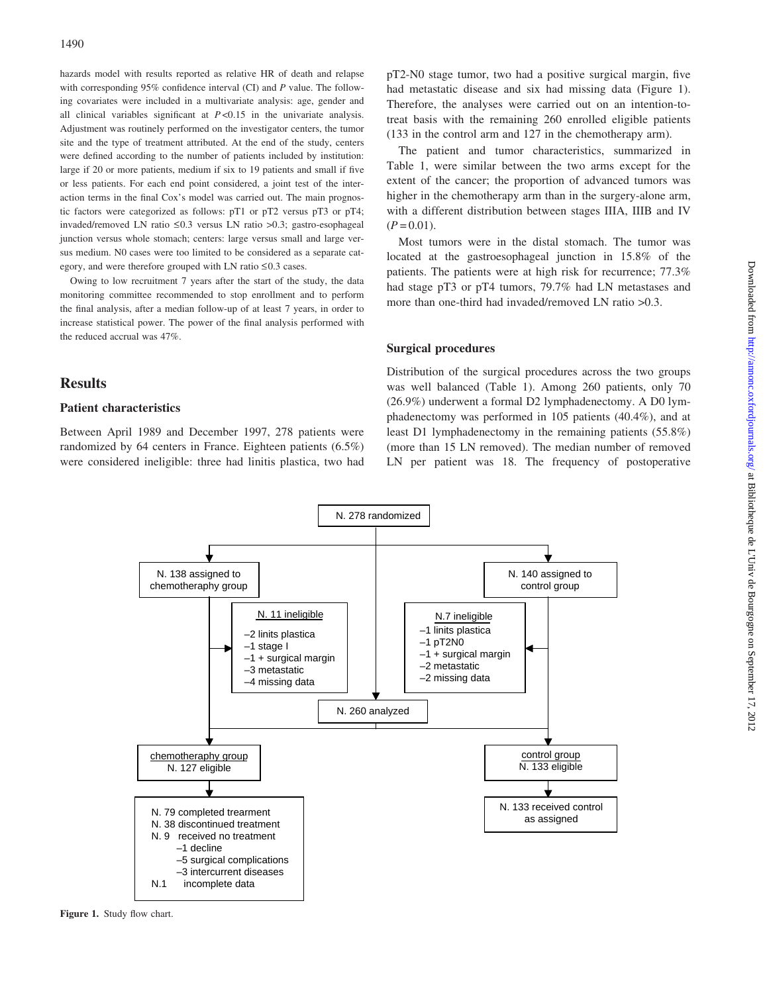hazards model with results reported as relative HR of death and relapse with corresponding 95% confidence interval (CI) and P value. The following covariates were included in a multivariate analysis: age, gender and all clinical variables significant at  $P < 0.15$  in the univariate analysis. Adjustment was routinely performed on the investigator centers, the tumor site and the type of treatment attributed. At the end of the study, centers were defined according to the number of patients included by institution: large if 20 or more patients, medium if six to 19 patients and small if five or less patients. For each end point considered, a joint test of the interaction terms in the final Cox's model was carried out. The main prognostic factors were categorized as follows: pT1 or pT2 versus pT3 or pT4; invaded/removed LN ratio  $\leq 0.3$  versus LN ratio  $> 0.3$ ; gastro-esophageal junction versus whole stomach; centers: large versus small and large versus medium. N0 cases were too limited to be considered as a separate category, and were therefore grouped with LN ratio  $\leq 0.3$  cases.

Owing to low recruitment 7 years after the start of the study, the data monitoring committee recommended to stop enrollment and to perform the final analysis, after a median follow-up of at least 7 years, in order to increase statistical power. The power of the final analysis performed with the reduced accrual was 47%.

# **Results**

## Patient characteristics

Between April 1989 and December 1997, 278 patients were randomized by 64 centers in France. Eighteen patients (6.5%) were considered ineligible: three had linitis plastica, two had

pT2-N0 stage tumor, two had a positive surgical margin, five had metastatic disease and six had missing data (Figure 1). Therefore, the analyses were carried out on an intention-totreat basis with the remaining 260 enrolled eligible patients (133 in the control arm and 127 in the chemotherapy arm).

The patient and tumor characteristics, summarized in Table 1, were similar between the two arms except for the extent of the cancer; the proportion of advanced tumors was higher in the chemotherapy arm than in the surgery-alone arm, with a different distribution between stages IIIA, IIIB and IV  $(P = 0.01)$ .

Most tumors were in the distal stomach. The tumor was located at the gastroesophageal junction in 15.8% of the patients. The patients were at high risk for recurrence; 77.3% had stage pT3 or pT4 tumors, 79.7% had LN metastases and more than one-third had invaded/removed LN ratio >0.3.

## Surgical procedures

Distribution of the surgical procedures across the two groups was well balanced (Table 1). Among 260 patients, only 70 (26.9%) underwent a formal D2 lymphadenectomy. A D0 lymphadenectomy was performed in 105 patients (40.4%), and at least D1 lymphadenectomy in the remaining patients (55.8%) (more than 15 LN removed). The median number of removed LN per patient was 18. The frequency of postoperative



Figure 1. Study flow chart.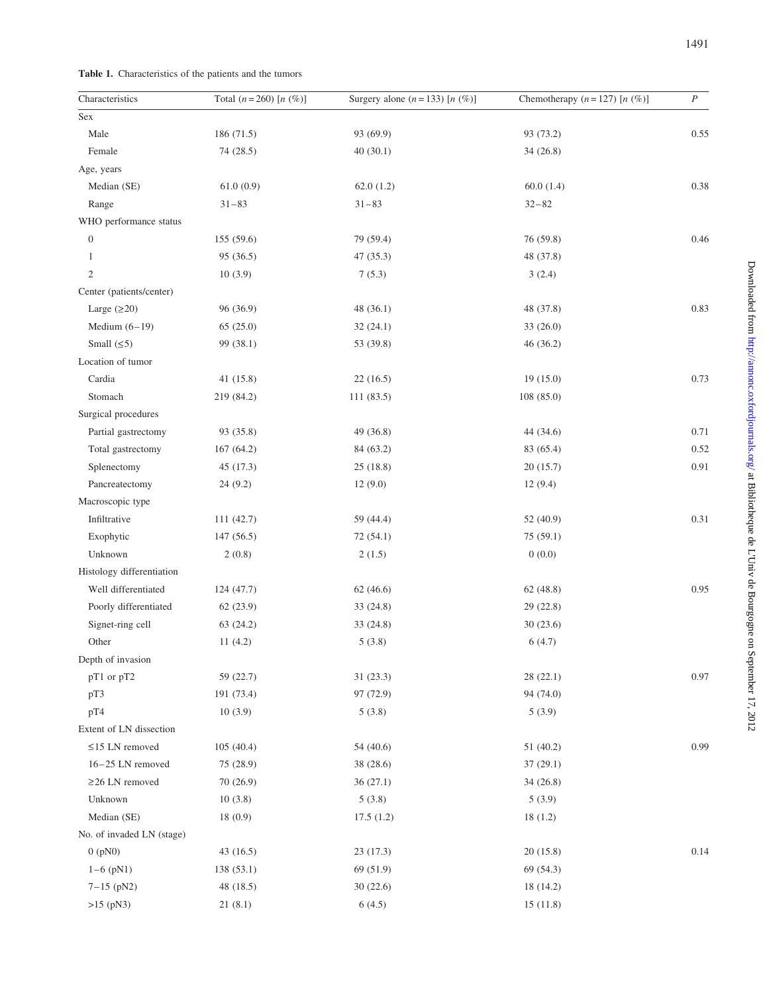|  | Table 1. Characteristics of the patients and the tumors |  |  |  |  |  |
|--|---------------------------------------------------------|--|--|--|--|--|
|--|---------------------------------------------------------|--|--|--|--|--|

| Characteristics           | Total $(n = 260)$ [n $(\%)$ ] | Surgery alone $(n=133)$ [n $(\%)$ ] | Chemotherapy $(n = 127)$ [n $(\%)$ ] | $\cal P$ |
|---------------------------|-------------------------------|-------------------------------------|--------------------------------------|----------|
| Sex                       |                               |                                     |                                      |          |
| Male                      | 186 (71.5)                    | 93 (69.9)                           | 93 (73.2)                            | 0.55     |
| Female                    | 74 (28.5)                     | 40(30.1)                            | 34 (26.8)                            |          |
| Age, years                |                               |                                     |                                      |          |
| Median (SE)               | 61.0(0.9)                     | 62.0(1.2)                           | 60.0(1.4)                            | 0.38     |
| Range                     | $31 - 83$                     | $31 - 83$                           | $32 - 82$                            |          |
| WHO performance status    |                               |                                     |                                      |          |
| $\boldsymbol{0}$          | 155 (59.6)                    | 79 (59.4)                           | 76 (59.8)                            | 0.46     |
| $\mathbf{1}$              | 95 (36.5)                     | 47 (35.3)                           | 48 (37.8)                            |          |
| $\sqrt{2}$                | 10(3.9)                       | 7(5.3)                              | 3(2.4)                               |          |
| Center (patients/center)  |                               |                                     |                                      |          |
| Large $(≥20)$             | 96 (36.9)                     | 48 (36.1)                           | 48 (37.8)                            | 0.83     |
| Medium $(6-19)$           | 65(25.0)                      | 32(24.1)                            | 33 (26.0)                            |          |
| Small $(\leq 5)$          | 99 (38.1)                     | 53 (39.8)                           | 46 (36.2)                            |          |
| Location of tumor         |                               |                                     |                                      |          |
| Cardia                    | 41(15.8)                      | 22(16.5)                            | 19(15.0)                             | 0.73     |
| Stomach                   | 219 (84.2)                    | 111 (83.5)                          | 108 (85.0)                           |          |
| Surgical procedures       |                               |                                     |                                      |          |
| Partial gastrectomy       | 93 (35.8)                     | 49 (36.8)                           | 44 (34.6)                            | 0.71     |
| Total gastrectomy         | 167(64.2)                     | 84 (63.2)                           | 83 (65.4)                            | 0.52     |
| Splenectomy               | 45 (17.3)                     | 25(18.8)                            | 20(15.7)                             | 0.91     |
| Pancreatectomy            | 24(9.2)                       | 12(9.0)                             | 12(9.4)                              |          |
| Macroscopic type          |                               |                                     |                                      |          |
| Infiltrative              | 111 (42.7)                    | 59 (44.4)                           | 52 (40.9)                            | 0.31     |
| Exophytic                 | 147 (56.5)                    | 72 (54.1)                           | 75 (59.1)                            |          |
| Unknown                   | 2(0.8)                        | 2(1.5)                              | 0(0.0)                               |          |
| Histology differentiation |                               |                                     |                                      |          |
| Well differentiated       | 124(47.7)                     | 62(46.6)                            | 62(48.8)                             | 0.95     |
| Poorly differentiated     | 62 (23.9)                     | 33 (24.8)                           | 29 (22.8)                            |          |
| Signet-ring cell          | 63(24.2)                      | 33(24.8)                            | 30(23.6)                             |          |
| Other                     | 11(4.2)                       | 5(3.8)                              | 6(4.7)                               |          |
| Depth of invasion         |                               |                                     |                                      |          |
| pT1 or pT2                | 59 (22.7)                     | 31(23.3)                            | 28(22.1)                             | 0.97     |
| pT3                       | 191 (73.4)                    | 97 (72.9)                           | 94 (74.0)                            |          |
| pT4                       | 10(3.9)                       | 5(3.8)                              | 5(3.9)                               |          |
| Extent of LN dissection   |                               |                                     |                                      |          |
| $\leq$ 15 LN removed      | 105(40.4)                     | 54 (40.6)                           | 51 (40.2)                            | 0.99     |
| $16-25$ LN removed        | 75 (28.9)                     | 38 (28.6)                           | 37(29.1)                             |          |
| $\geq$ 26 LN removed      | 70(26.9)                      | 36(27.1)                            | 34(26.8)                             |          |
| Unknown                   | 10(3.8)                       | 5(3.8)                              | 5(3.9)                               |          |
| Median (SE)               | 18(0.9)                       | 17.5(1.2)                           | 18(1.2)                              |          |
| No. of invaded LN (stage) |                               |                                     |                                      |          |
| $0$ ( $pN0$ )             | 43(16.5)                      | 23(17.3)                            | 20(15.8)                             | 0.14     |
| $1-6$ (pN1)               | 138(53.1)                     | 69 (51.9)                           | 69 (54.3)                            |          |
| $7-15$ (pN2)              | 48 (18.5)                     | 30(22.6)                            | 18 (14.2)                            |          |
| $>15$ (pN3)               | 21(8.1)                       | 6(4.5)                              | 15(11.8)                             |          |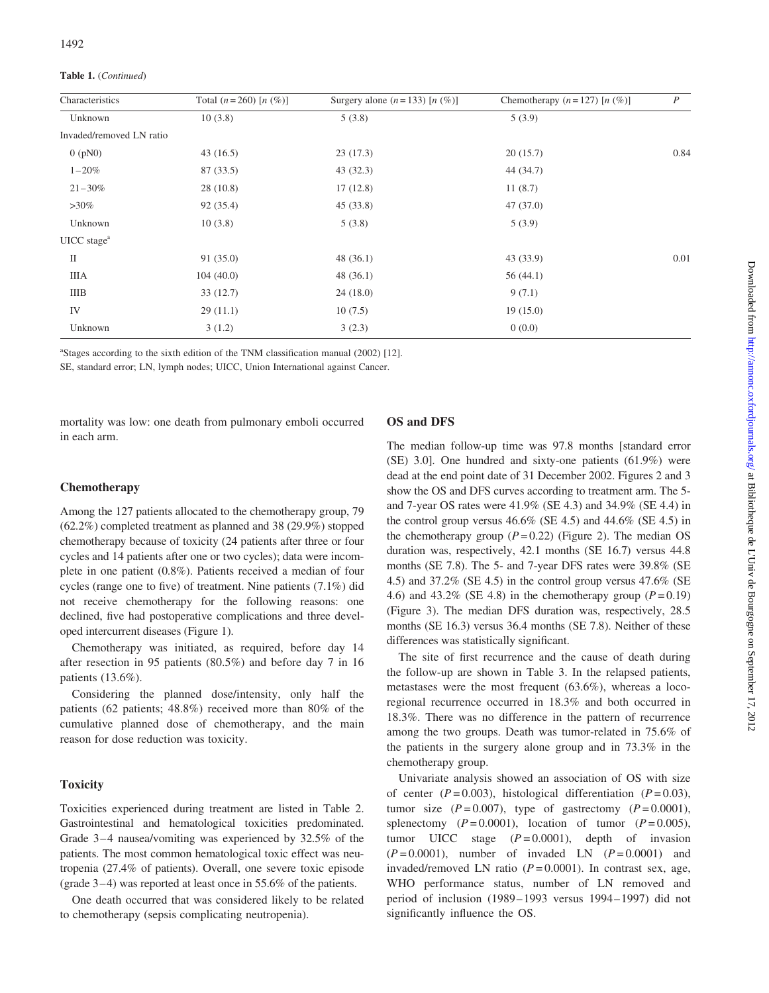Table 1. (Continued)

| Characteristics          | Total $(n=260)$ [n $(\%)$ ] | Surgery alone $(n=133)$ [n $(\%)$ ] | Chemotherapy $(n = 127)$ [n $(\%)$ ] | $\boldsymbol{P}$ |
|--------------------------|-----------------------------|-------------------------------------|--------------------------------------|------------------|
| Unknown                  | 10(3.8)                     | 5(3.8)                              | 5(3.9)                               |                  |
| Invaded/removed LN ratio |                             |                                     |                                      |                  |
| $0$ (pN0)                | 43(16.5)                    | 23(17.3)                            | 20(15.7)                             | 0.84             |
| $1 - 20\%$               | 87 (33.5)                   | 43(32.3)                            | 44 (34.7)                            |                  |
| $21 - 30\%$              | 28(10.8)                    | 17(12.8)                            | 11(8.7)                              |                  |
| $>30\%$                  | 92 (35.4)                   | 45(33.8)                            | 47(37.0)                             |                  |
| Unknown                  | 10(3.8)                     | 5(3.8)                              | 5(3.9)                               |                  |
| $UICC\, stagea$          |                             |                                     |                                      |                  |
| $\mathcal{I}$            | 91(35.0)                    | 48(36.1)                            | 43 (33.9)                            | 0.01             |
| <b>IIIA</b>              | 104(40.0)                   | 48(36.1)                            | 56 $(44.1)$                          |                  |
| IIIB                     | 33(12.7)                    | 24(18.0)                            | 9(7.1)                               |                  |
| IV                       | 29(11.1)                    | 10(7.5)                             | 19(15.0)                             |                  |
| Unknown                  | 3(1.2)                      | 3(2.3)                              | 0(0.0)                               |                  |

<sup>a</sup>Stages according to the sixth edition of the TNM classification manual (2002) [12].

SE, standard error; LN, lymph nodes; UICC, Union International against Cancer.

mortality was low: one death from pulmonary emboli occurred in each arm.

## OS and DFS

### Chemotherapy

Among the 127 patients allocated to the chemotherapy group, 79 (62.2%) completed treatment as planned and 38 (29.9%) stopped chemotherapy because of toxicity (24 patients after three or four cycles and 14 patients after one or two cycles); data were incomplete in one patient (0.8%). Patients received a median of four cycles (range one to five) of treatment. Nine patients (7.1%) did not receive chemotherapy for the following reasons: one declined, five had postoperative complications and three developed intercurrent diseases (Figure 1).

Chemotherapy was initiated, as required, before day 14 after resection in 95 patients (80.5%) and before day 7 in 16 patients (13.6%).

Considering the planned dose/intensity, only half the patients (62 patients; 48.8%) received more than 80% of the cumulative planned dose of chemotherapy, and the main reason for dose reduction was toxicity.

## **Toxicity**

Toxicities experienced during treatment are listed in Table 2. Gastrointestinal and hematological toxicities predominated. Grade 3–4 nausea/vomiting was experienced by 32.5% of the patients. The most common hematological toxic effect was neutropenia (27.4% of patients). Overall, one severe toxic episode (grade 3–4) was reported at least once in 55.6% of the patients.

One death occurred that was considered likely to be related to chemotherapy (sepsis complicating neutropenia).

The median follow-up time was 97.8 months [standard error (SE) 3.0]. One hundred and sixty-one patients (61.9%) were dead at the end point date of 31 December 2002. Figures 2 and 3 show the OS and DFS curves according to treatment arm. The 5 and 7-year OS rates were 41.9% (SE 4.3) and 34.9% (SE 4.4) in the control group versus  $46.6\%$  (SE 4.5) and  $44.6\%$  (SE 4.5) in the chemotherapy group  $(P = 0.22)$  (Figure 2). The median OS duration was, respectively, 42.1 months (SE 16.7) versus 44.8 months (SE 7.8). The 5- and 7-year DFS rates were 39.8% (SE 4.5) and 37.2% (SE 4.5) in the control group versus 47.6% (SE 4.6) and 43.2% (SE 4.8) in the chemotherapy group  $(P=0.19)$ (Figure 3). The median DFS duration was, respectively, 28.5 months (SE 16.3) versus 36.4 months (SE 7.8). Neither of these differences was statistically significant.

The site of first recurrence and the cause of death during the follow-up are shown in Table 3. In the relapsed patients, metastases were the most frequent (63.6%), whereas a locoregional recurrence occurred in 18.3% and both occurred in 18.3%. There was no difference in the pattern of recurrence among the two groups. Death was tumor-related in 75.6% of the patients in the surgery alone group and in 73.3% in the chemotherapy group.

Univariate analysis showed an association of OS with size of center  $(P=0.003)$ , histological differentiation  $(P=0.03)$ , tumor size  $(P=0.007)$ , type of gastrectomy  $(P=0.0001)$ , splenectomy  $(P=0.0001)$ , location of tumor  $(P=0.005)$ , tumor UICC stage  $(P=0.0001)$ , depth of invasion  $(P=0.0001)$ , number of invaded LN  $(P=0.0001)$  and invaded/removed LN ratio  $(P = 0.0001)$ . In contrast sex, age, WHO performance status, number of LN removed and period of inclusion (1989–1993 versus 1994–1997) did not significantly influence the OS.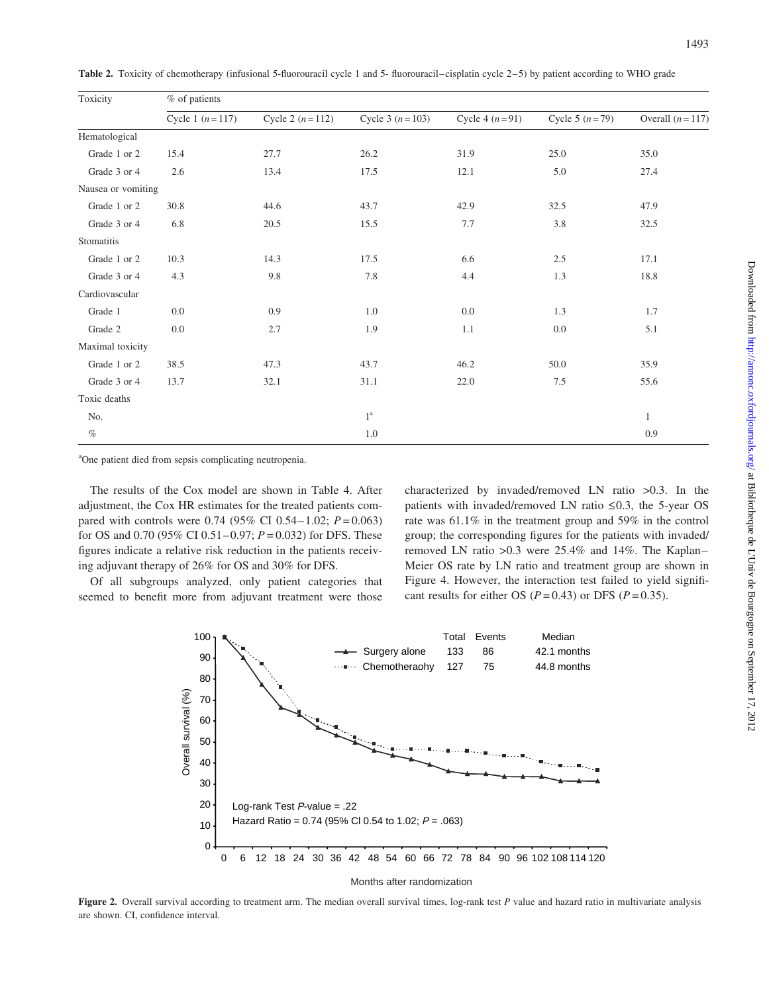| Toxicity           | % of patients       |                     |                     |                    |                  |                   |  |
|--------------------|---------------------|---------------------|---------------------|--------------------|------------------|-------------------|--|
|                    | Cycle 1 $(n = 117)$ | Cycle 2 $(n = 112)$ | Cycle 3 $(n = 103)$ | Cycle 4 $(n = 91)$ | Cycle 5 $(n=79)$ | Overall $(n=117)$ |  |
| Hematological      |                     |                     |                     |                    |                  |                   |  |
| Grade 1 or 2       | 15.4                | 27.7                | 26.2                | 31.9               | 25.0             | 35.0              |  |
| Grade 3 or 4       | 2.6                 | 13.4                | 17.5                | 12.1               | 5.0              | 27.4              |  |
| Nausea or vomiting |                     |                     |                     |                    |                  |                   |  |
| Grade 1 or 2       | 30.8                | 44.6                | 43.7                | 42.9               | 32.5             | 47.9              |  |
| Grade 3 or 4       | 6.8                 | 20.5                | 15.5                | 7.7                | 3.8              | 32.5              |  |
| Stomatitis         |                     |                     |                     |                    |                  |                   |  |
| Grade 1 or 2       | 10.3                | 14.3                | 17.5                | 6.6                | 2.5              | 17.1              |  |
| Grade 3 or 4       | 4.3                 | 9.8                 | 7.8                 | 4.4                | 1.3              | 18.8              |  |
| Cardiovascular     |                     |                     |                     |                    |                  |                   |  |
| Grade 1            | 0.0                 | 0.9                 | 1.0                 | 0.0                | 1.3              | 1.7               |  |
| Grade 2            | 0.0                 | 2.7                 | 1.9                 | 1.1                | 0.0              | 5.1               |  |
| Maximal toxicity   |                     |                     |                     |                    |                  |                   |  |
| Grade 1 or 2       | 38.5                | 47.3                | 43.7                | 46.2               | 50.0             | 35.9              |  |
| Grade 3 or 4       | 13.7                | 32.1                | 31.1                | 22.0               | 7.5              | 55.6              |  |
| Toxic deaths       |                     |                     |                     |                    |                  |                   |  |
| No.                |                     |                     | 1 <sup>a</sup>      |                    |                  | $\mathbf{1}$      |  |
| $\%$               |                     |                     | 1.0                 |                    |                  | 0.9               |  |

Table 2. Toxicity of chemotherapy (infusional 5-fluorouracil cycle 1 and 5- fluorouracil–cisplatin cycle 2–5) by patient according to WHO grade

<sup>a</sup>One patient died from sepsis complicating neutropenia.

The results of the Cox model are shown in Table 4. After adjustment, the Cox HR estimates for the treated patients compared with controls were 0.74 (95% CI 0.54–1.02;  $P = 0.063$ ) for OS and 0.70 (95% CI 0.51 – 0.97;  $P = 0.032$ ) for DFS. These figures indicate a relative risk reduction in the patients receiving adjuvant therapy of 26% for OS and 30% for DFS.

Of all subgroups analyzed, only patient categories that seemed to benefit more from adjuvant treatment were those

characterized by invaded/removed LN ratio >0.3. In the patients with invaded/removed LN ratio  $\leq 0.3$ , the 5-year OS rate was 61.1% in the treatment group and 59% in the control group; the corresponding figures for the patients with invaded/ removed LN ratio >0.3 were 25.4% and 14%. The Kaplan– Meier OS rate by LN ratio and treatment group are shown in Figure 4. However, the interaction test failed to yield significant results for either OS ( $P = 0.43$ ) or DFS ( $P = 0.35$ ).



Months after randomization

Figure 2. Overall survival according to treatment arm. The median overall survival times, log-rank test P value and hazard ratio in multivariate analysis are shown. CI, confidence interval.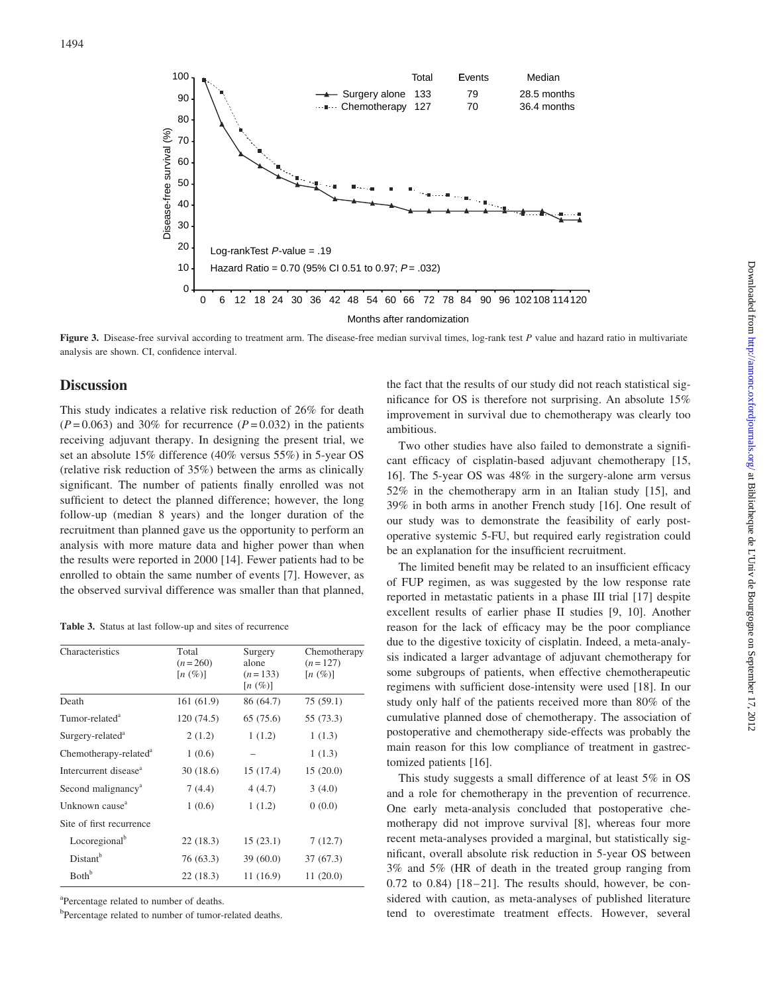

Figure 3. Disease-free survival according to treatment arm. The disease-free median survival times, log-rank test P value and hazard ratio in multivariate analysis are shown. CI, confidence interval.

## **Discussion**

This study indicates a relative risk reduction of 26% for death  $(P=0.063)$  and 30% for recurrence  $(P=0.032)$  in the patients receiving adjuvant therapy. In designing the present trial, we set an absolute 15% difference (40% versus 55%) in 5-year OS (relative risk reduction of 35%) between the arms as clinically significant. The number of patients finally enrolled was not sufficient to detect the planned difference; however, the long follow-up (median 8 years) and the longer duration of the recruitment than planned gave us the opportunity to perform an analysis with more mature data and higher power than when the results were reported in 2000 [14]. Fewer patients had to be enrolled to obtain the same number of events [7]. However, as the observed survival difference was smaller than that planned,

Table 3. Status at last follow-up and sites of recurrence

| Characteristics                   | Total<br>$(n=260)$<br>$[n \ (\%)]$ | Surgery<br>alone<br>$(n=133)$<br>$[n \ (\%)]$ | Chemotherapy<br>$(n=127)$<br>$[n \ (\%)]$ |
|-----------------------------------|------------------------------------|-----------------------------------------------|-------------------------------------------|
| Death                             | 161 (61.9)                         | 86 (64.7)                                     | 75 (59.1)                                 |
| Tumor-related <sup>a</sup>        | 120(74.5)                          | 65 (75.6)                                     | 55 (73.3)                                 |
| Surgery-related <sup>a</sup>      | 2(1.2)                             | 1(1.2)                                        | 1(1.3)                                    |
| Chemotherapy-related <sup>a</sup> | 1(0.6)                             |                                               | 1(1.3)                                    |
| Intercurrent disease <sup>a</sup> | 30(18.6)                           | 15 (17.4)                                     | 15(20.0)                                  |
| Second malignancy <sup>a</sup>    | 7(4.4)                             | 4(4.7)                                        | 3(4.0)                                    |
| Unknown cause <sup>a</sup>        | 1(0.6)                             | 1(1.2)                                        | 0(0.0)                                    |
| Site of first recurrence          |                                    |                                               |                                           |
| Locoregional <sup>b</sup>         | 22 (18.3)                          | 15(23.1)                                      | 7(12.7)                                   |
| Distant <sup>b</sup>              | 76 (63.3)                          | 39(60.0)                                      | 37 (67.3)                                 |
| <b>B</b> oth <sup>b</sup>         | 22(18.3)                           | 11(16.9)                                      | 11(20.0)                                  |

<sup>a</sup>Percentage related to number of deaths.

<sup>b</sup>Percentage related to number of tumor-related deaths.

the fact that the results of our study did not reach statistical significance for OS is therefore not surprising. An absolute 15% improvement in survival due to chemotherapy was clearly too ambitious.

Two other studies have also failed to demonstrate a significant efficacy of cisplatin-based adjuvant chemotherapy [15, 16]. The 5-year OS was 48% in the surgery-alone arm versus 52% in the chemotherapy arm in an Italian study [15], and 39% in both arms in another French study [16]. One result of our study was to demonstrate the feasibility of early postoperative systemic 5-FU, but required early registration could be an explanation for the insufficient recruitment.

The limited benefit may be related to an insufficient efficacy of FUP regimen, as was suggested by the low response rate reported in metastatic patients in a phase III trial [17] despite excellent results of earlier phase II studies [9, 10]. Another reason for the lack of efficacy may be the poor compliance due to the digestive toxicity of cisplatin. Indeed, a meta-analysis indicated a larger advantage of adjuvant chemotherapy for some subgroups of patients, when effective chemotherapeutic regimens with sufficient dose-intensity were used [18]. In our study only half of the patients received more than 80% of the cumulative planned dose of chemotherapy. The association of postoperative and chemotherapy side-effects was probably the main reason for this low compliance of treatment in gastrectomized patients [16].

This study suggests a small difference of at least 5% in OS and a role for chemotherapy in the prevention of recurrence. One early meta-analysis concluded that postoperative chemotherapy did not improve survival [8], whereas four more recent meta-analyses provided a marginal, but statistically significant, overall absolute risk reduction in 5-year OS between 3% and 5% (HR of death in the treated group ranging from  $0.72$  to  $0.84$ )  $[18-21]$ . The results should, however, be considered with caution, as meta-analyses of published literature tend to overestimate treatment effects. However, several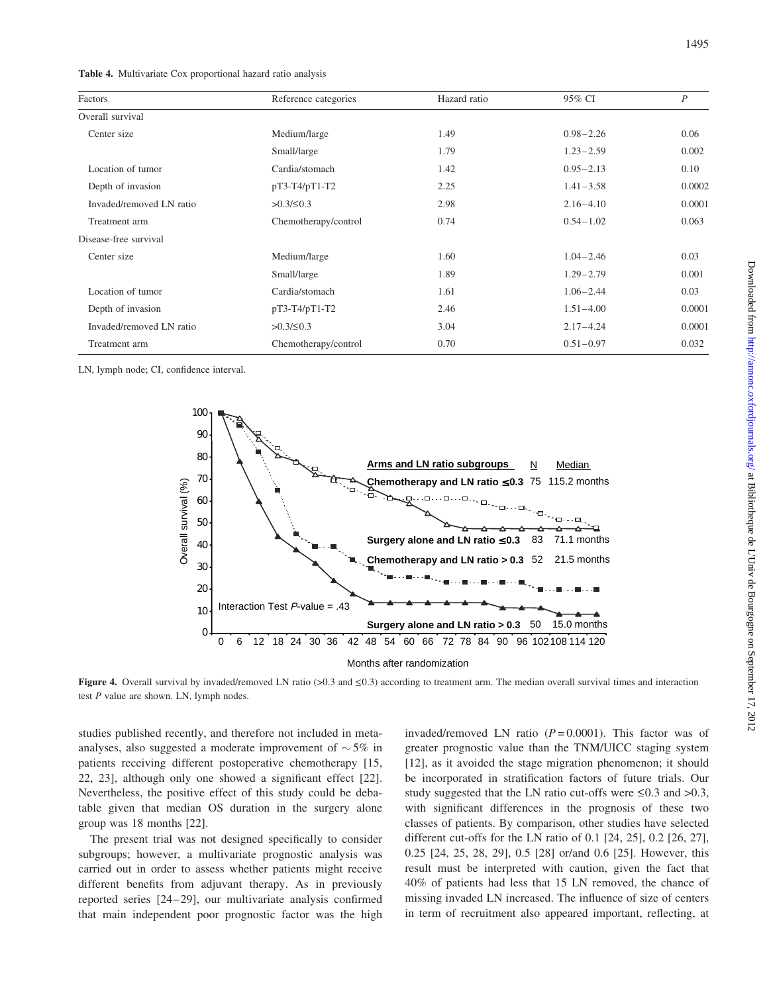| Factors                  | Reference categories | Hazard ratio | 95% CI        | $\boldsymbol{P}$ |
|--------------------------|----------------------|--------------|---------------|------------------|
| Overall survival         |                      |              |               |                  |
| Center size              | Medium/large         | 1.49         | $0.98 - 2.26$ | 0.06             |
|                          | Small/large          | 1.79         | $1.23 - 2.59$ | 0.002            |
| Location of tumor        | Cardia/stomach       | 1.42         | $0.95 - 2.13$ | 0.10             |
| Depth of invasion        | pT3-T4/pT1-T2        | 2.25         | $1.41 - 3.58$ | 0.0002           |
| Invaded/removed LN ratio | $>0.3/\leq 0.3$      | 2.98         | $2.16 - 4.10$ | 0.0001           |
| Treatment arm            | Chemotherapy/control | 0.74         | $0.54 - 1.02$ | 0.063            |
| Disease-free survival    |                      |              |               |                  |
| Center size              | Medium/large         | 1.60         | $1.04 - 2.46$ | 0.03             |
|                          | Small/large          | 1.89         | $1.29 - 2.79$ | 0.001            |
| Location of tumor        | Cardia/stomach       | 1.61         | $1.06 - 2.44$ | 0.03             |
| Depth of invasion        | pT3-T4/pT1-T2        | 2.46         | $1.51 - 4.00$ | 0.0001           |
| Invaded/removed LN ratio | $>0.3/\leq 0.3$      | 3.04         | $2.17 - 4.24$ | 0.0001           |
| Treatment arm            | Chemotherapy/control | 0.70         | $0.51 - 0.97$ | 0.032            |

LN, lymph node; CI, confidence interval.



Figure 4. Overall survival by invaded/removed LN ratio (>0.3 and  $\leq$ 0.3) according to treatment arm. The median overall survival times and interaction test P value are shown. LN, lymph nodes.

studies published recently, and therefore not included in metaanalyses, also suggested a moderate improvement of  $\sim$  5% in patients receiving different postoperative chemotherapy [15, 22, 23], although only one showed a significant effect [22]. Nevertheless, the positive effect of this study could be debatable given that median OS duration in the surgery alone group was 18 months [22].

The present trial was not designed specifically to consider subgroups; however, a multivariate prognostic analysis was carried out in order to assess whether patients might receive different benefits from adjuvant therapy. As in previously reported series [24–29], our multivariate analysis confirmed that main independent poor prognostic factor was the high

invaded/removed LN ratio  $(P=0.0001)$ . This factor was of greater prognostic value than the TNM/UICC staging system [12], as it avoided the stage migration phenomenon; it should be incorporated in stratification factors of future trials. Our study suggested that the LN ratio cut-offs were  $\leq 0.3$  and  $> 0.3$ , with significant differences in the prognosis of these two classes of patients. By comparison, other studies have selected different cut-offs for the LN ratio of 0.1 [24, 25], 0.2 [26, 27], 0.25 [24, 25, 28, 29], 0.5 [28] or/and 0.6 [25]. However, this result must be interpreted with caution, given the fact that 40% of patients had less that 15 LN removed, the chance of missing invaded LN increased. The influence of size of centers in term of recruitment also appeared important, reflecting, at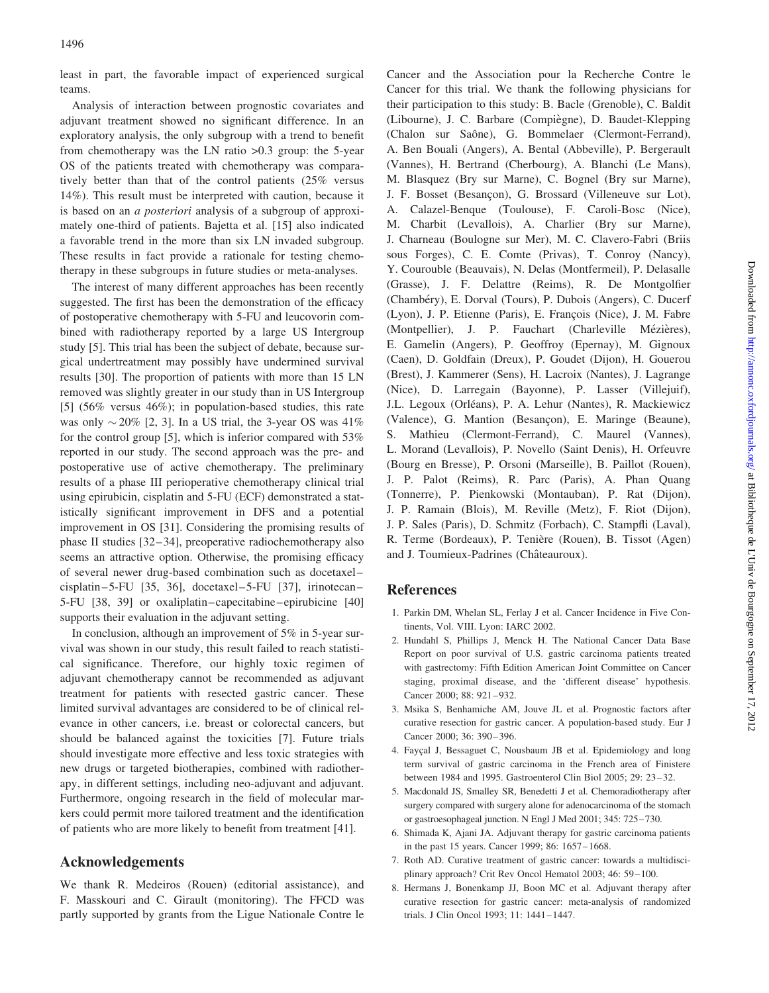least in part, the favorable impact of experienced surgical teams.

Analysis of interaction between prognostic covariates and adjuvant treatment showed no significant difference. In an exploratory analysis, the only subgroup with a trend to benefit from chemotherapy was the LN ratio >0.3 group: the 5-year OS of the patients treated with chemotherapy was comparatively better than that of the control patients (25% versus 14%). This result must be interpreted with caution, because it is based on an a posteriori analysis of a subgroup of approximately one-third of patients. Bajetta et al. [15] also indicated a favorable trend in the more than six LN invaded subgroup. These results in fact provide a rationale for testing chemotherapy in these subgroups in future studies or meta-analyses.

The interest of many different approaches has been recently suggested. The first has been the demonstration of the efficacy of postoperative chemotherapy with 5-FU and leucovorin combined with radiotherapy reported by a large US Intergroup study [5]. This trial has been the subject of debate, because surgical undertreatment may possibly have undermined survival results [30]. The proportion of patients with more than 15 LN removed was slightly greater in our study than in US Intergroup [5] (56% versus 46%); in population-based studies, this rate was only  $\sim$  20% [2, 3]. In a US trial, the 3-year OS was 41% for the control group [5], which is inferior compared with 53% reported in our study. The second approach was the pre- and postoperative use of active chemotherapy. The preliminary results of a phase III perioperative chemotherapy clinical trial using epirubicin, cisplatin and 5-FU (ECF) demonstrated a statistically significant improvement in DFS and a potential improvement in OS [31]. Considering the promising results of phase II studies [32–34], preoperative radiochemotherapy also seems an attractive option. Otherwise, the promising efficacy of several newer drug-based combination such as docetaxel– cisplatin–5-FU [35, 36], docetaxel–5-FU [37], irinotecan– 5-FU [38, 39] or oxaliplatin–capecitabine–epirubicine [40] supports their evaluation in the adjuvant setting.

In conclusion, although an improvement of 5% in 5-year survival was shown in our study, this result failed to reach statistical significance. Therefore, our highly toxic regimen of adjuvant chemotherapy cannot be recommended as adjuvant treatment for patients with resected gastric cancer. These limited survival advantages are considered to be of clinical relevance in other cancers, i.e. breast or colorectal cancers, but should be balanced against the toxicities [7]. Future trials should investigate more effective and less toxic strategies with new drugs or targeted biotherapies, combined with radiotherapy, in different settings, including neo-adjuvant and adjuvant. Furthermore, ongoing research in the field of molecular markers could permit more tailored treatment and the identification of patients who are more likely to benefit from treatment [41].

# Acknowledgements

We thank R. Medeiros (Rouen) (editorial assistance), and F. Masskouri and C. Girault (monitoring). The FFCD was partly supported by grants from the Ligue Nationale Contre le

Cancer and the Association pour la Recherche Contre le Cancer for this trial. We thank the following physicians for their participation to this study: B. Bacle (Grenoble), C. Baldit (Libourne), J. C. Barbare (Compiègne), D. Baudet-Klepping (Chalon sur Saône), G. Bommelaer (Clermont-Ferrand), A. Ben Bouali (Angers), A. Bental (Abbeville), P. Bergerault (Vannes), H. Bertrand (Cherbourg), A. Blanchi (Le Mans), M. Blasquez (Bry sur Marne), C. Bognel (Bry sur Marne), J. F. Bosset (Besançon), G. Brossard (Villeneuve sur Lot), A. Calazel-Benque (Toulouse), F. Caroli-Bosc (Nice), M. Charbit (Levallois), A. Charlier (Bry sur Marne), J. Charneau (Boulogne sur Mer), M. C. Clavero-Fabri (Briis sous Forges), C. E. Comte (Privas), T. Conroy (Nancy), Y. Courouble (Beauvais), N. Delas (Montfermeil), P. Delasalle (Grasse), J. F. Delattre (Reims), R. De Montgolfier (Chambéry), E. Dorval (Tours), P. Dubois (Angers), C. Ducerf (Lyon), J. P. Etienne (Paris), E. François (Nice), J. M. Fabre (Montpellier), J. P. Fauchart (Charleville Mézières), E. Gamelin (Angers), P. Geoffroy (Epernay), M. Gignoux (Caen), D. Goldfain (Dreux), P. Goudet (Dijon), H. Gouerou (Brest), J. Kammerer (Sens), H. Lacroix (Nantes), J. Lagrange (Nice), D. Larregain (Bayonne), P. Lasser (Villejuif), J.L. Legoux (Orléans), P. A. Lehur (Nantes), R. Mackiewicz (Valence), G. Mantion (Besançon), E. Maringe (Beaune), S. Mathieu (Clermont-Ferrand), C. Maurel (Vannes), L. Morand (Levallois), P. Novello (Saint Denis), H. Orfeuvre (Bourg en Bresse), P. Orsoni (Marseille), B. Paillot (Rouen), J. P. Palot (Reims), R. Parc (Paris), A. Phan Quang (Tonnerre), P. Pienkowski (Montauban), P. Rat (Dijon), J. P. Ramain (Blois), M. Reville (Metz), F. Riot (Dijon), J. P. Sales (Paris), D. Schmitz (Forbach), C. Stampfli (Laval), R. Terme (Bordeaux), P. Tenière (Rouen), B. Tissot (Agen) and J. Toumieux-Padrines (Châteauroux).

## References

- 1. Parkin DM, Whelan SL, Ferlay J et al. Cancer Incidence in Five Continents, Vol. VIII. Lyon: IARC 2002.
- 2. Hundahl S, Phillips J, Menck H. The National Cancer Data Base Report on poor survival of U.S. gastric carcinoma patients treated with gastrectomy: Fifth Edition American Joint Committee on Cancer staging, proximal disease, and the 'different disease' hypothesis. Cancer 2000; 88: 921–932.
- 3. Msika S, Benhamiche AM, Jouve JL et al. Prognostic factors after curative resection for gastric cancer. A population-based study. Eur J Cancer 2000; 36: 390–396.
- 4. Fayçal J, Bessaguet C, Nousbaum JB et al. Epidemiology and long term survival of gastric carcinoma in the French area of Finistere between 1984 and 1995. Gastroenterol Clin Biol 2005; 29: 23–32.
- 5. Macdonald JS, Smalley SR, Benedetti J et al. Chemoradiotherapy after surgery compared with surgery alone for adenocarcinoma of the stomach or gastroesophageal junction. N Engl J Med 2001; 345: 725–730.
- 6. Shimada K, Ajani JA. Adjuvant therapy for gastric carcinoma patients in the past 15 years. Cancer 1999; 86: 1657–1668.
- 7. Roth AD. Curative treatment of gastric cancer: towards a multidisciplinary approach? Crit Rev Oncol Hematol 2003; 46: 59–100.
- 8. Hermans J, Bonenkamp JJ, Boon MC et al. Adjuvant therapy after curative resection for gastric cancer: meta-analysis of randomized trials. J Clin Oncol 1993; 11: 1441–1447.